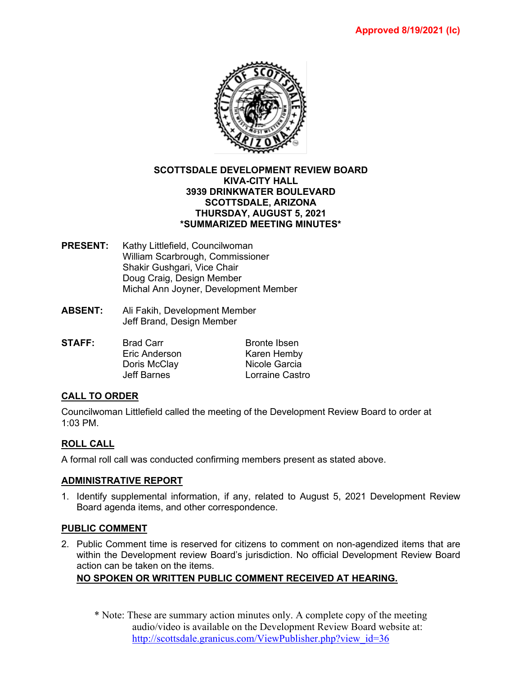

#### **SCOTTSDALE DEVELOPMENT REVIEW BOARD KIVA-CITY HALL 3939 DRINKWATER BOULEVARD SCOTTSDALE, ARIZONA THURSDAY, AUGUST 5, 2021 \*SUMMARIZED MEETING MINUTES\***

- **PRESENT:** Kathy Littlefield, Councilwoman William Scarbrough, Commissioner Shakir Gushgari, Vice Chair Doug Craig, Design Member Michal Ann Joyner, Development Member
- **ABSENT:** Ali Fakih, Development Member Jeff Brand, Design Member
- **STAFF:** Brad Carr Bronte Ibsen<br>Eric Anderson Branch Hemby Eric Anderson Doris McClay Nicole Garcia Jeff Barnes Lorraine Castro

## **CALL TO ORDER**

Councilwoman Littlefield called the meeting of the Development Review Board to order at 1:03 PM.

# **ROLL CALL**

A formal roll call was conducted confirming members present as stated above.

## **ADMINISTRATIVE REPORT**

1. Identify supplemental information, if any, related to August 5, 2021 Development Review Board agenda items, and other correspondence.

#### **PUBLIC COMMENT**

2. Public Comment time is reserved for citizens to comment on non-agendized items that are within the Development review Board's jurisdiction. No official Development Review Board action can be taken on the items.

## **NO SPOKEN OR WRITTEN PUBLIC COMMENT RECEIVED AT HEARING.**

\* Note: These are summary action minutes only. A complete copy of the meeting audio/video is available on the Development Review Board website at: [http://scottsdale.granicus.com/ViewPublisher.php?view\\_id=36](http://scottsdale.granicus.com/ViewPublisher.php?view_id=36)